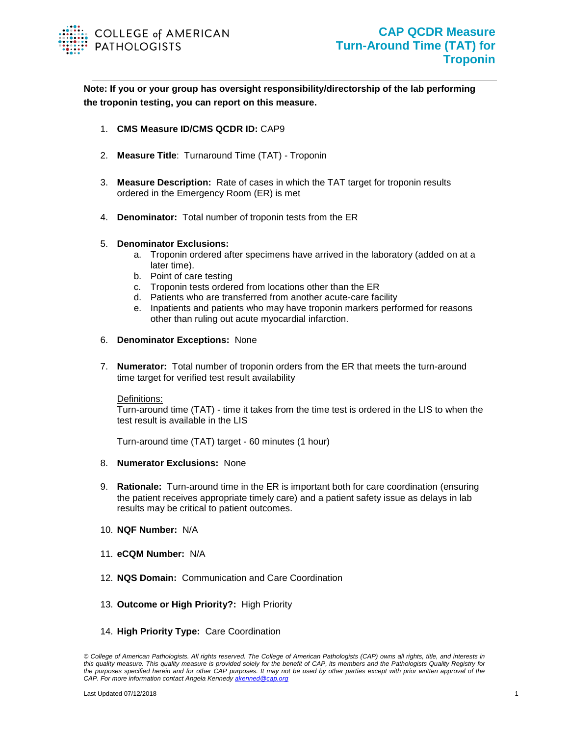

**Note: If you or your group has oversight responsibility/directorship of the lab performing the troponin testing, you can report on this measure.**

- 1. **CMS Measure ID/CMS QCDR ID:** CAP9
- 2. **Measure Title**: Turnaround Time (TAT) Troponin
- 3. **Measure Description:** Rate of cases in which the TAT target for troponin results ordered in the Emergency Room (ER) is met
- 4. **Denominator:** Total number of troponin tests from the ER

## 5. **Denominator Exclusions:**

- a. Troponin ordered after specimens have arrived in the laboratory (added on at a later time).
- b. Point of care testing
- c. Troponin tests ordered from locations other than the ER
- d. Patients who are transferred from another acute-care facility
- e. Inpatients and patients who may have troponin markers performed for reasons other than ruling out acute myocardial infarction.
- 6. **Denominator Exceptions:** None
- 7. **Numerator:** Total number of troponin orders from the ER that meets the turn-around time target for verified test result availability

## Definitions:

Turn-around time (TAT) - time it takes from the time test is ordered in the LIS to when the test result is available in the LIS

Turn-around time (TAT) target - 60 minutes (1 hour)

- 8. **Numerator Exclusions:** None
- 9. **Rationale:** Turn-around time in the ER is important both for care coordination (ensuring the patient receives appropriate timely care) and a patient safety issue as delays in lab results may be critical to patient outcomes.
- 10. **NQF Number:** N/A
- 11. **eCQM Number:** N/A
- 12. **NQS Domain:** Communication and Care Coordination
- 13. **Outcome or High Priority?:** High Priority
- 14. **High Priority Type:** Care Coordination

*<sup>©</sup> College of American Pathologists. All rights reserved. The College of American Pathologists (CAP) owns all rights, title, and interests in this quality measure. This quality measure is provided solely for the benefit of CAP, its members and the Pathologists Quality Registry for the purposes specified herein and for other CAP purposes. It may not be used by other parties except with prior written approval of the CAP. For more information contact Angela Kennedy [akenned@cap.org](mailto:akenned@cap.org)*